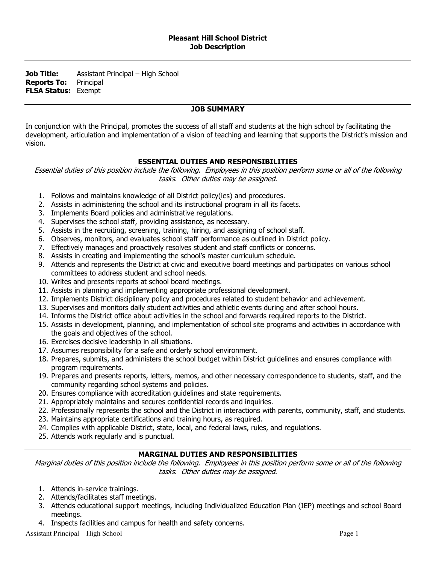**Job Title:** Assistant Principal – High School **Reports To:** Principal **FLSA Status:** Exempt

# **JOB SUMMARY**

In conjunction with the Principal, promotes the success of all staff and students at the high school by facilitating the development, articulation and implementation of a vision of teaching and learning that supports the District's mission and vision.

### **ESSENTIAL DUTIES AND RESPONSIBILITIES**

Essential duties of this position include the following. Employees in this position perform some or all of the following tasks. Other duties may be assigned.

- 1. Follows and maintains knowledge of all District policy(ies) and procedures.
- 2. Assists in administering the school and its instructional program in all its facets.
- 3. Implements Board policies and administrative regulations.
- 4. Supervises the school staff, providing assistance, as necessary.
- 5. Assists in the recruiting, screening, training, hiring, and assigning of school staff.
- 6. Observes, monitors, and evaluates school staff performance as outlined in District policy.
- 7. Effectively manages and proactively resolves student and staff conflicts or concerns.
- 8. Assists in creating and implementing the school's master curriculum schedule.
- 9. Attends and represents the District at civic and executive board meetings and participates on various school committees to address student and school needs.
- 10. Writes and presents reports at school board meetings.
- 11. Assists in planning and implementing appropriate professional development.
- 12. Implements District disciplinary policy and procedures related to student behavior and achievement.
- 13. Supervises and monitors daily student activities and athletic events during and after school hours.
- 14. Informs the District office about activities in the school and forwards required reports to the District.
- 15. Assists in development, planning, and implementation of school site programs and activities in accordance with the goals and objectives of the school.
- 16. Exercises decisive leadership in all situations.
- 17. Assumes responsibility for a safe and orderly school environment.
- 18. Prepares, submits, and administers the school budget within District guidelines and ensures compliance with program requirements.
- 19. Prepares and presents reports, letters, memos, and other necessary correspondence to students, staff, and the community regarding school systems and policies.
- 20. Ensures compliance with accreditation guidelines and state requirements.
- 21. Appropriately maintains and secures confidential records and inquiries.
- 22. Professionally represents the school and the District in interactions with parents, community, staff, and students.
- 23. Maintains appropriate certifications and training hours, as required.
- 24. Complies with applicable District, state, local, and federal laws, rules, and regulations.
- 25. Attends work regularly and is punctual.

# **MARGINAL DUTIES AND RESPONSIBILITIES**

Marginal duties of this position include the following. Employees in this position perform some or all of the following tasks. Other duties may be assigned.

- 1. Attends in-service trainings.
- 2. Attends/facilitates staff meetings.
- 3. Attends educational support meetings, including Individualized Education Plan (IEP) meetings and school Board meetings.
- 4. Inspects facilities and campus for health and safety concerns.

Assistant Principal – High School Page 1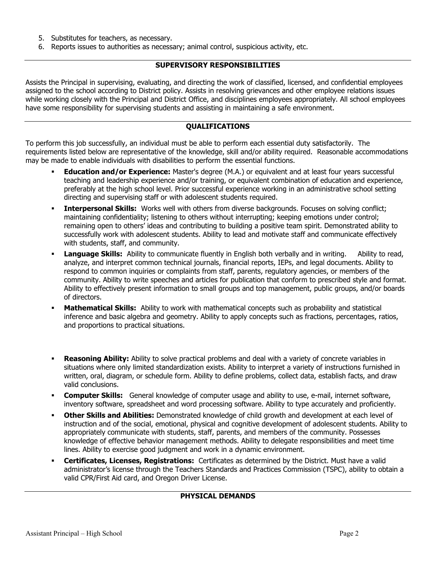- 5. Substitutes for teachers, as necessary.
- 6. Reports issues to authorities as necessary; animal control, suspicious activity, etc.

#### **SUPERVISORY RESPONSIBILITIES**

Assists the Principal in supervising, evaluating, and directing the work of classified, licensed, and confidential employees assigned to the school according to District policy. Assists in resolving grievances and other employee relations issues while working closely with the Principal and District Office, and disciplines employees appropriately. All school employees have some responsibility for supervising students and assisting in maintaining a safe environment.

# **QUALIFICATIONS**

To perform this job successfully, an individual must be able to perform each essential duty satisfactorily. The requirements listed below are representative of the knowledge, skill and/or ability required. Reasonable accommodations may be made to enable individuals with disabilities to perform the essential functions.

- **Education and/or Experience:** Master's degree (M.A.) or equivalent and at least four years successful teaching and leadership experience and/or training, or equivalent combination of education and experience, preferably at the high school level. Prior successful experience working in an administrative school setting directing and supervising staff or with adolescent students required.
- **Interpersonal Skills:** Works well with others from diverse backgrounds. Focuses on solving conflict; maintaining confidentiality; listening to others without interrupting; keeping emotions under control; remaining open to others' ideas and contributing to building a positive team spirit. Demonstrated ability to successfully work with adolescent students. Ability to lead and motivate staff and communicate effectively with students, staff, and community.
- Language Skills: Ability to communicate fluently in English both verbally and in writing. Ability to read, analyze, and interpret common technical journals, financial reports, IEPs, and legal documents. Ability to respond to common inquiries or complaints from staff, parents, regulatory agencies, or members of the community. Ability to write speeches and articles for publication that conform to prescribed style and format. Ability to effectively present information to small groups and top management, public groups, and/or boards of directors.
- **Mathematical Skills:** Ability to work with mathematical concepts such as probability and statistical inference and basic algebra and geometry. Ability to apply concepts such as fractions, percentages, ratios, and proportions to practical situations.
- **Reasoning Ability:** Ability to solve practical problems and deal with a variety of concrete variables in situations where only limited standardization exists. Ability to interpret a variety of instructions furnished in written, oral, diagram, or schedule form. Ability to define problems, collect data, establish facts, and draw valid conclusions.
- **Computer Skills:** General knowledge of computer usage and ability to use, e-mail, internet software, inventory software, spreadsheet and word processing software. Ability to type accurately and proficiently.
- **Other Skills and Abilities:** Demonstrated knowledge of child growth and development at each level of instruction and of the social, emotional, physical and cognitive development of adolescent students. Ability to appropriately communicate with students, staff, parents, and members of the community. Possesses knowledge of effective behavior management methods. Ability to delegate responsibilities and meet time lines. Ability to exercise good judgment and work in a dynamic environment.
- **Certificates, Licenses, Registrations:** Certificates as determined by the District. Must have a valid administrator's license through the Teachers Standards and Practices Commission (TSPC), ability to obtain a valid CPR/First Aid card, and Oregon Driver License.

#### **PHYSICAL DEMANDS**